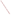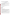# **Consumer Factsheet on: CHLOROBENZENE**

## [List of Contaminants](http://www.epa.gov/safewater/hfacts.html)

 As part of the Drinking Water and Health pages, this fact sheet is part of a larger publication: **National Primary Drinking Water Regulations** 

 States Environmental Protection Agency (EPA). This is a factsheet about a chemical that may be found in some public or private drinking water supplies. It may cause health problems if found in amounts greater than the health standard set by the United

#### **What is Chlorobenzene and how is it used?**

Chlorobenzene is a colorless organic liquid with a faint, almond-like odor. The greatest use of chlorobenzene is in the manufacture of other organic chemicals, dyestuffs and insecticides. It is also a solvent for adhesives, drugs, rubber, paints and dry-cleaning, and as a fiber-swelling agent in textile processing.

The list of trade names given below may help you find out whether<br>you are using this chemical at home or work.

### **Trade Names and Synonyms:**

Benzene chloride Chlorbenzol Monochlorobenzene Phenyl chloride IP Carrier T 40 Tetrosin SP

### **Why is Chlorobenzene being Regulated?**

 based solely on possible health risks and exposure, are called Maximum Contaminant Level Goals. In 1974, Congress passed the Safe Drinking Water Act. This law requires EPA to determine safe levels of chemicals in drinking water which do or may cause health problems. These non-enforceable levels,

 The MCLG for chlorobenzene has been set at 0.1 parts per million (ppm) because EPA believes this level of protection would not cause any of the potential health problems described below.

 Based on this MCLG, EPA has set an enforceable standard called a Maximum Contaminant Level (MCL). MCLs are set as close to the MCLGs as possible, considering the ability of public water systems to detect and remove contaminants using suitable treatment technologies.

 it occur in drinking water. The MCL has been set at 0.1 ppm because EPA believes, given present technology and resources, this is the lowest level to which water systems can reasonably be required to remove this contaminant should

These drinking water standards and the regulations for ensuring these standards are met, are called National Primary Drinking Water Regulations. All public water supplies must abide by these regulations.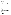#### **What are the Health Effects?**

Short-term: EPA has found chlorobenzene to potentially cause the following health effects when people are exposed to it at levels above the MCL for relatively short periods of time: anesthetic effects and impaired liver and kidney function.

 Long-term: Chlorobenzene has the potential to cause the following effects from a lifetime exposure at levels above the MCL: liver, kidney and central nervous system damage.

#### **How much Chlorobenzene is produced and released to the environment?**

Production of chlorobenzene in 1988 was 270 million pounds, and was expected to decrease. Major environmental releases of chlorobenzene are due to its use as a solvent in pesticides.

 these releases occurred in West Virginia. From 1987 to 1993, according to EPA's Toxic Chemical Release Inventory, chlorobenzene releases to water totalled over 326,000 lbs. Releases to land totalled nearly 37,000 lbs. These releases were primarily from alkali and chlorine industries which use chlorobenzene in chlorination processes. Most of

#### **What happens to Chlorobenzene when it is released to the environment?**

Releases into water and onto land will either evaporate or be slowly degraded by microbes in the soil or water. Since it does not bind to soils, it can be expected to leach into the groundwater. Little accumulation is expected in fish and food products.

#### **How will Chlorobenzene be Detected in and Removed from My Drinking Water?**

 water supplier to collect water samples every 3 months for one year and analyze them to find out if monitor this contaminant. The regulation for chlorobenzene became effective in 1989. Between 1993 and 1995, EPA required your chlorobenzene is present above 0.5 ppb. If it is present above this level, the system must continue to

 combination with Packed Tower Aeration. If contaminant levels are found to be consistently above the MCL, your water supplier must take steps to reduce the amount of chlorobenzene so that it is consistently below that level. The following treatment methods have been approved by EPA for removing chlorobenzene: Granular activated charcoal in

#### **How will I know if Chlorobenzene is in my drinking water?**

 newspapers, radio, TV and other means. Additional actions, such as providing alternative drinking water If the levels of chlorobenzene exceed the MCL, 0.1 ppm, the system must notify the public via supplies, may be required to prevent serious risks to public health.

#### **Drinking Water Standards:**

Mclg: 0.1 ppm

Mcl: 0.1 ppm

# **Chlorobenzene Releases to Water and Land, 1987 to 1993 (in pounds): Water Land**

**TOTALS (in pounds) 326,017 36,910**